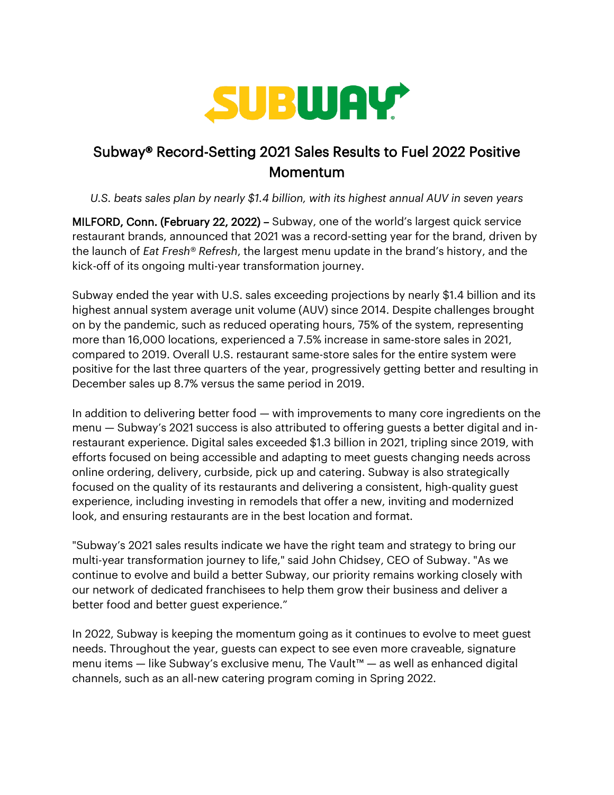

## Subway® Record-Setting 2021 Sales Results to Fuel 2022 Positive **Momentum**

*U.S. beats sales plan by nearly \$1.4 billion, with its highest annual AUV in seven years*

MILFORD, Conn. (February 22, 2022) – Subway, one of the world's largest quick service restaurant brands, announced that 2021 was a record-setting year for the brand, driven by the launch of *Eat Fresh® Refresh*, the largest menu update in the brand's history, and the kick-off of its ongoing multi-year transformation journey.

Subway ended the year with U.S. sales exceeding projections by nearly \$1.4 billion and its highest annual system average unit volume (AUV) since 2014. Despite challenges brought on by the pandemic, such as reduced operating hours, 75% of the system, representing more than 16,000 locations, experienced a 7.5% increase in same-store sales in 2021, compared to 2019. Overall U.S. restaurant same-store sales for the entire system were positive for the last three quarters of the year, progressively getting better and resulting in December sales up 8.7% versus the same period in 2019.

In addition to delivering better food — with improvements to many core ingredients on the menu — Subway's 2021 success is also attributed to offering guests a better digital and inrestaurant experience. Digital sales exceeded \$1.3 billion in 2021, tripling since 2019, with efforts focused on being accessible and adapting to meet guests changing needs across online ordering, delivery, curbside, pick up and catering. Subway is also strategically focused on the quality of its restaurants and delivering a consistent, high-quality guest experience, including investing in remodels that offer a new, inviting and modernized look, and ensuring restaurants are in the best location and format.

"Subway's 2021 sales results indicate we have the right team and strategy to bring our multi-year transformation journey to life," said John Chidsey, CEO of Subway. "As we continue to evolve and build a better Subway, our priority remains working closely with our network of dedicated franchisees to help them grow their business and deliver a better food and better guest experience."

In 2022, Subway is keeping the momentum going as it continues to evolve to meet guest needs. Throughout the year, guests can expect to see even more craveable, signature menu items — like Subway's exclusive menu, The Vault™ — as well as enhanced digital channels, such as an all-new catering program coming in Spring 2022.